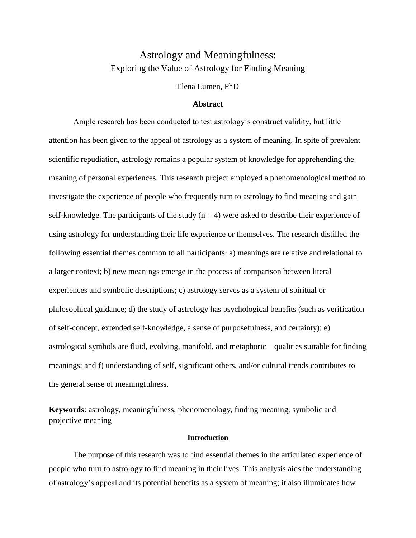# Astrology and Meaningfulness: Exploring the Value of Astrology for Finding Meaning

Elena Lumen, PhD

#### **Abstract**

Ample research has been conducted to test astrology's construct validity, but little attention has been given to the appeal of astrology as a system of meaning. In spite of prevalent scientific repudiation, astrology remains a popular system of knowledge for apprehending the meaning of personal experiences. This research project employed a phenomenological method to investigate the experience of people who frequently turn to astrology to find meaning and gain self-knowledge. The participants of the study  $(n = 4)$  were asked to describe their experience of using astrology for understanding their life experience or themselves. The research distilled the following essential themes common to all participants: a) meanings are relative and relational to a larger context; b) new meanings emerge in the process of comparison between literal experiences and symbolic descriptions; c) astrology serves as a system of spiritual or philosophical guidance; d) the study of astrology has psychological benefits (such as verification of self-concept, extended self-knowledge, a sense of purposefulness, and certainty); e) astrological symbols are fluid, evolving, manifold, and metaphoric—qualities suitable for finding meanings; and f) understanding of self, significant others, and/or cultural trends contributes to the general sense of meaningfulness.

**Keywords**: astrology, meaningfulness, phenomenology, finding meaning, symbolic and projective meaning

#### **Introduction**

The purpose of this research was to find essential themes in the articulated experience of people who turn to astrology to find meaning in their lives. This analysis aids the understanding of astrology's appeal and its potential benefits as a system of meaning; it also illuminates how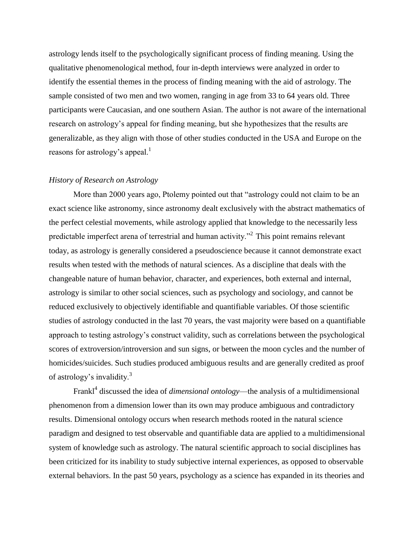astrology lends itself to the psychologically significant process of finding meaning. Using the qualitative phenomenological method, four in-depth interviews were analyzed in order to identify the essential themes in the process of finding meaning with the aid of astrology. The sample consisted of two men and two women, ranging in age from 33 to 64 years old. Three participants were Caucasian, and one southern Asian. The author is not aware of the international research on astrology's appeal for finding meaning, but she hypothesizes that the results are generalizable, as they align with those of other studies conducted in the USA and Europe on the reasons for astrology's appeal.<sup>1</sup>

#### *History of Research on Astrology*

More than 2000 years ago, Ptolemy pointed out that "astrology could not claim to be an exact science like astronomy, since astronomy dealt exclusively with the abstract mathematics of the perfect celestial movements, while astrology applied that knowledge to the necessarily less predictable imperfect arena of terrestrial and human activity.<sup> $2$ </sup> This point remains relevant today, as astrology is generally considered a pseudoscience because it cannot demonstrate exact results when tested with the methods of natural sciences. As a discipline that deals with the changeable nature of human behavior, character, and experiences, both external and internal, astrology is similar to other social sciences, such as psychology and sociology, and cannot be reduced exclusively to objectively identifiable and quantifiable variables. Of those scientific studies of astrology conducted in the last 70 years, the vast majority were based on a quantifiable approach to testing astrology's construct validity, such as correlations between the psychological scores of extroversion/introversion and sun signs, or between the moon cycles and the number of homicides/suicides. Such studies produced ambiguous results and are generally credited as proof of astrology's invalidity.<sup>3</sup>

Frankl<sup>4</sup> discussed the idea of *dimensional ontology*—the analysis of a multidimensional phenomenon from a dimension lower than its own may produce ambiguous and contradictory results. Dimensional ontology occurs when research methods rooted in the natural science paradigm and designed to test observable and quantifiable data are applied to a multidimensional system of knowledge such as astrology. The natural scientific approach to social disciplines has been criticized for its inability to study subjective internal experiences, as opposed to observable external behaviors. In the past 50 years, psychology as a science has expanded in its theories and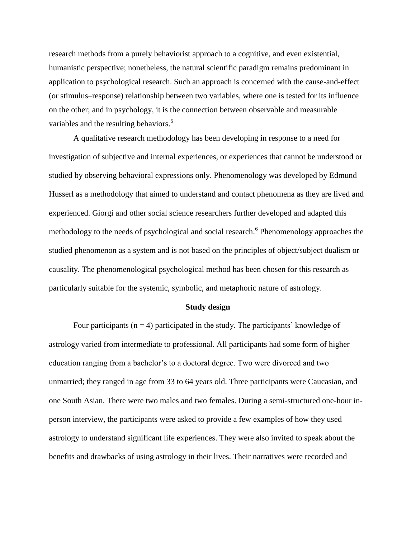research methods from a purely behaviorist approach to a cognitive, and even existential, humanistic perspective; nonetheless, the natural scientific paradigm remains predominant in application to psychological research. Such an approach is concerned with the cause-and-effect (or stimulus–response) relationship between two variables, where one is tested for its influence on the other; and in psychology, it is the connection between observable and measurable variables and the resulting behaviors.<sup>5</sup>

A qualitative research methodology has been developing in response to a need for investigation of subjective and internal experiences, or experiences that cannot be understood or studied by observing behavioral expressions only. Phenomenology was developed by Edmund Husserl as a methodology that aimed to understand and contact phenomena as they are lived and experienced. Giorgi and other social science researchers further developed and adapted this methodology to the needs of psychological and social research.<sup>6</sup> Phenomenology approaches the studied phenomenon as a system and is not based on the principles of object/subject dualism or causality. The phenomenological psychological method has been chosen for this research as particularly suitable for the systemic, symbolic, and metaphoric nature of astrology.

#### **Study design**

Four participants ( $n = 4$ ) participated in the study. The participants' knowledge of astrology varied from intermediate to professional. All participants had some form of higher education ranging from a bachelor's to a doctoral degree. Two were divorced and two unmarried; they ranged in age from 33 to 64 years old. Three participants were Caucasian, and one South Asian. There were two males and two females. During a semi-structured one-hour inperson interview, the participants were asked to provide a few examples of how they used astrology to understand significant life experiences. They were also invited to speak about the benefits and drawbacks of using astrology in their lives. Their narratives were recorded and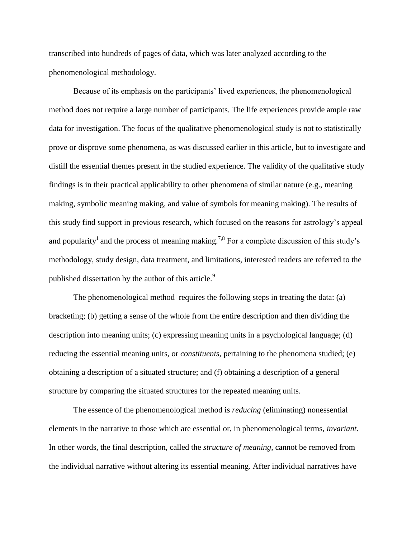transcribed into hundreds of pages of data, which was later analyzed according to the phenomenological methodology.

Because of its emphasis on the participants' lived experiences, the phenomenological method does not require a large number of participants. The life experiences provide ample raw data for investigation. The focus of the qualitative phenomenological study is not to statistically prove or disprove some phenomena, as was discussed earlier in this article, but to investigate and distill the essential themes present in the studied experience. The validity of the qualitative study findings is in their practical applicability to other phenomena of similar nature (e.g., meaning making, symbolic meaning making, and value of symbols for meaning making). The results of this study find support in previous research, which focused on the reasons for astrology's appeal and popularity<sup>1</sup> and the process of meaning making.<sup>7,8</sup> For a complete discussion of this study's methodology, study design, data treatment, and limitations, interested readers are referred to the published dissertation by the author of this article.<sup>9</sup>

The phenomenological method requires the following steps in treating the data: (a) bracketing; (b) getting a sense of the whole from the entire description and then dividing the description into meaning units; (c) expressing meaning units in a psychological language; (d) reducing the essential meaning units, or *constituents*, pertaining to the phenomena studied; (e) obtaining a description of a situated structure; and (f) obtaining a description of a general structure by comparing the situated structures for the repeated meaning units.

The essence of the phenomenological method is *reducing* (eliminating) nonessential elements in the narrative to those which are essential or, in phenomenological terms, *invariant*. In other words, the final description, called the *structure of meaning*, cannot be removed from the individual narrative without altering its essential meaning. After individual narratives have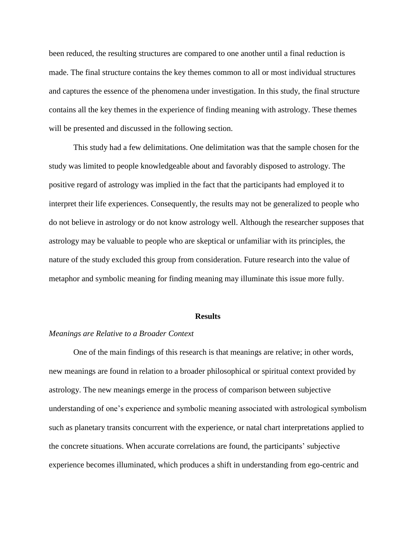been reduced, the resulting structures are compared to one another until a final reduction is made. The final structure contains the key themes common to all or most individual structures and captures the essence of the phenomena under investigation. In this study, the final structure contains all the key themes in the experience of finding meaning with astrology. These themes will be presented and discussed in the following section.

This study had a few delimitations. One delimitation was that the sample chosen for the study was limited to people knowledgeable about and favorably disposed to astrology. The positive regard of astrology was implied in the fact that the participants had employed it to interpret their life experiences. Consequently, the results may not be generalized to people who do not believe in astrology or do not know astrology well. Although the researcher supposes that astrology may be valuable to people who are skeptical or unfamiliar with its principles, the nature of the study excluded this group from consideration. Future research into the value of metaphor and symbolic meaning for finding meaning may illuminate this issue more fully.

#### **Results**

#### *Meanings are Relative to a Broader Context*

One of the main findings of this research is that meanings are relative; in other words, new meanings are found in relation to a broader philosophical or spiritual context provided by astrology. The new meanings emerge in the process of comparison between subjective understanding of one's experience and symbolic meaning associated with astrological symbolism such as planetary transits concurrent with the experience, or natal chart interpretations applied to the concrete situations. When accurate correlations are found, the participants' subjective experience becomes illuminated, which produces a shift in understanding from ego-centric and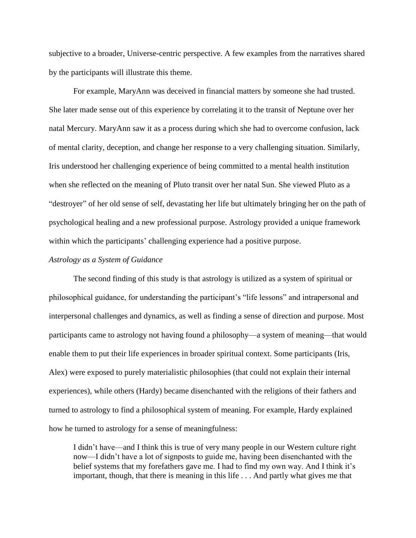subjective to a broader, Universe-centric perspective. A few examples from the narratives shared by the participants will illustrate this theme.

For example, MaryAnn was deceived in financial matters by someone she had trusted. She later made sense out of this experience by correlating it to the transit of Neptune over her natal Mercury. MaryAnn saw it as a process during which she had to overcome confusion, lack of mental clarity, deception, and change her response to a very challenging situation. Similarly, Iris understood her challenging experience of being committed to a mental health institution when she reflected on the meaning of Pluto transit over her natal Sun. She viewed Pluto as a "destroyer" of her old sense of self, devastating her life but ultimately bringing her on the path of psychological healing and a new professional purpose. Astrology provided a unique framework within which the participants' challenging experience had a positive purpose.

### *Astrology as a System of Guidance*

The second finding of this study is that astrology is utilized as a system of spiritual or philosophical guidance, for understanding the participant's "life lessons" and intrapersonal and interpersonal challenges and dynamics, as well as finding a sense of direction and purpose. Most participants came to astrology not having found a philosophy—a system of meaning—that would enable them to put their life experiences in broader spiritual context. Some participants (Iris, Alex) were exposed to purely materialistic philosophies (that could not explain their internal experiences), while others (Hardy) became disenchanted with the religions of their fathers and turned to astrology to find a philosophical system of meaning. For example, Hardy explained how he turned to astrology for a sense of meaningfulness:

I didn't have—and I think this is true of very many people in our Western culture right now—I didn't have a lot of signposts to guide me, having been disenchanted with the belief systems that my forefathers gave me. I had to find my own way. And I think it's important, though, that there is meaning in this life . . . And partly what gives me that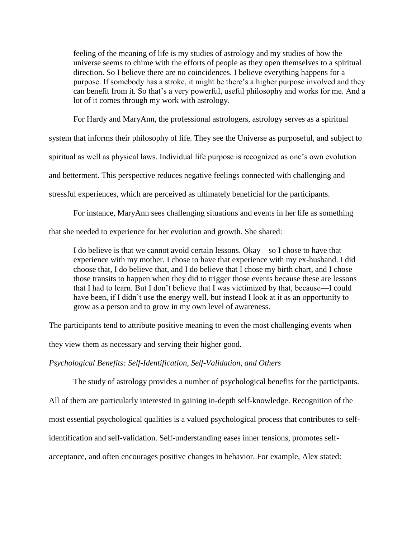feeling of the meaning of life is my studies of astrology and my studies of how the universe seems to chime with the efforts of people as they open themselves to a spiritual direction. So I believe there are no coincidences. I believe everything happens for a purpose. If somebody has a stroke, it might be there's a higher purpose involved and they can benefit from it. So that's a very powerful, useful philosophy and works for me. And a lot of it comes through my work with astrology.

For Hardy and MaryAnn, the professional astrologers, astrology serves as a spiritual

system that informs their philosophy of life. They see the Universe as purposeful, and subject to spiritual as well as physical laws. Individual life purpose is recognized as one's own evolution and betterment. This perspective reduces negative feelings connected with challenging and stressful experiences, which are perceived as ultimately beneficial for the participants.

For instance, MaryAnn sees challenging situations and events in her life as something

that she needed to experience for her evolution and growth. She shared:

I do believe is that we cannot avoid certain lessons. Okay—so I chose to have that experience with my mother. I chose to have that experience with my ex-husband. I did choose that, I do believe that, and I do believe that I chose my birth chart, and I chose those transits to happen when they did to trigger those events because these are lessons that I had to learn. But I don't believe that I was victimized by that, because—I could have been, if I didn't use the energy well, but instead I look at it as an opportunity to grow as a person and to grow in my own level of awareness.

The participants tend to attribute positive meaning to even the most challenging events when

they view them as necessary and serving their higher good.

*Psychological Benefits: Self-Identification, Self-Validation, and Others*

The study of astrology provides a number of psychological benefits for the participants.

All of them are particularly interested in gaining in-depth self-knowledge. Recognition of the

most essential psychological qualities is a valued psychological process that contributes to self-

identification and self-validation. Self-understanding eases inner tensions, promotes self-

acceptance, and often encourages positive changes in behavior. For example, Alex stated: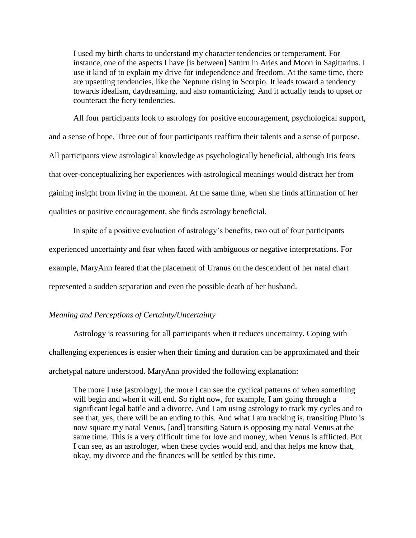I used my birth charts to understand my character tendencies or temperament. For instance, one of the aspects I have [is between] Saturn in Aries and Moon in Sagittarius. I use it kind of to explain my drive for independence and freedom. At the same time, there are upsetting tendencies, like the Neptune rising in Scorpio. It leads toward a tendency towards idealism, daydreaming, and also romanticizing. And it actually tends to upset or counteract the fiery tendencies.

All four participants look to astrology for positive encouragement, psychological support, and a sense of hope. Three out of four participants reaffirm their talents and a sense of purpose. All participants view astrological knowledge as psychologically beneficial, although Iris fears that over-conceptualizing her experiences with astrological meanings would distract her from gaining insight from living in the moment. At the same time, when she finds affirmation of her qualities or positive encouragement, she finds astrology beneficial.

In spite of a positive evaluation of astrology's benefits, two out of four participants experienced uncertainty and fear when faced with ambiguous or negative interpretations. For example, MaryAnn feared that the placement of Uranus on the descendent of her natal chart represented a sudden separation and even the possible death of her husband.

### *Meaning and Perceptions of Certainty/Uncertainty*

Astrology is reassuring for all participants when it reduces uncertainty. Coping with challenging experiences is easier when their timing and duration can be approximated and their archetypal nature understood. MaryAnn provided the following explanation:

The more I use [astrology], the more I can see the cyclical patterns of when something will begin and when it will end. So right now, for example, I am going through a significant legal battle and a divorce. And I am using astrology to track my cycles and to see that, yes, there will be an ending to this. And what I am tracking is, transiting Pluto is now square my natal Venus, [and] transiting Saturn is opposing my natal Venus at the same time. This is a very difficult time for love and money, when Venus is afflicted. But I can see, as an astrologer, when these cycles would end, and that helps me know that, okay, my divorce and the finances will be settled by this time.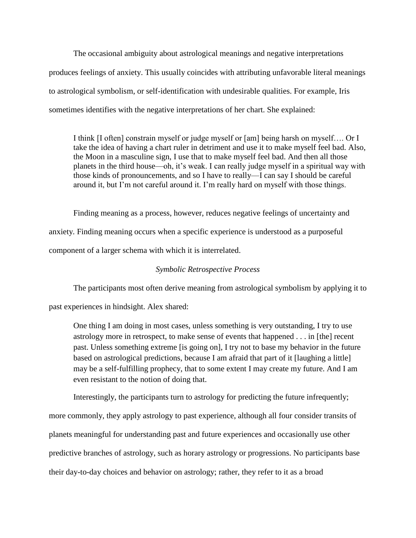The occasional ambiguity about astrological meanings and negative interpretations produces feelings of anxiety. This usually coincides with attributing unfavorable literal meanings to astrological symbolism, or self-identification with undesirable qualities. For example, Iris sometimes identifies with the negative interpretations of her chart. She explained:

I think [I often] constrain myself or judge myself or [am] being harsh on myself…. Or I take the idea of having a chart ruler in detriment and use it to make myself feel bad. Also, the Moon in a masculine sign, I use that to make myself feel bad. And then all those planets in the third house—oh, it's weak. I can really judge myself in a spiritual way with those kinds of pronouncements, and so I have to really—I can say I should be careful around it, but I'm not careful around it. I'm really hard on myself with those things.

Finding meaning as a process, however, reduces negative feelings of uncertainty and anxiety. Finding meaning occurs when a specific experience is understood as a purposeful component of a larger schema with which it is interrelated.

### *Symbolic Retrospective Process*

The participants most often derive meaning from astrological symbolism by applying it to

past experiences in hindsight. Alex shared:

One thing I am doing in most cases, unless something is very outstanding, I try to use astrology more in retrospect, to make sense of events that happened . . . in [the] recent past. Unless something extreme [is going on], I try not to base my behavior in the future based on astrological predictions, because I am afraid that part of it [laughing a little] may be a self-fulfilling prophecy, that to some extent I may create my future. And I am even resistant to the notion of doing that.

Interestingly, the participants turn to astrology for predicting the future infrequently;

more commonly, they apply astrology to past experience, although all four consider transits of planets meaningful for understanding past and future experiences and occasionally use other predictive branches of astrology, such as horary astrology or progressions. No participants base their day-to-day choices and behavior on astrology; rather, they refer to it as a broad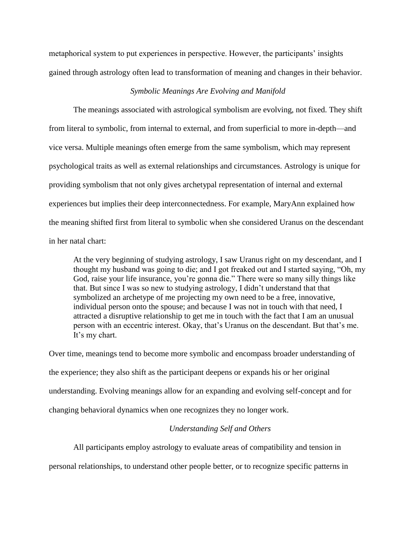metaphorical system to put experiences in perspective. However, the participants' insights gained through astrology often lead to transformation of meaning and changes in their behavior.

### *Symbolic Meanings Are Evolving and Manifold*

The meanings associated with astrological symbolism are evolving, not fixed. They shift from literal to symbolic, from internal to external, and from superficial to more in-depth—and vice versa. Multiple meanings often emerge from the same symbolism, which may represent psychological traits as well as external relationships and circumstances. Astrology is unique for providing symbolism that not only gives archetypal representation of internal and external experiences but implies their deep interconnectedness. For example, MaryAnn explained how the meaning shifted first from literal to symbolic when she considered Uranus on the descendant in her natal chart:

At the very beginning of studying astrology, I saw Uranus right on my descendant, and I thought my husband was going to die; and I got freaked out and I started saying, "Oh, my God, raise your life insurance, you're gonna die." There were so many silly things like that. But since I was so new to studying astrology, I didn't understand that that symbolized an archetype of me projecting my own need to be a free, innovative, individual person onto the spouse; and because I was not in touch with that need, I attracted a disruptive relationship to get me in touch with the fact that I am an unusual person with an eccentric interest. Okay, that's Uranus on the descendant. But that's me. It's my chart.

Over time, meanings tend to become more symbolic and encompass broader understanding of the experience; they also shift as the participant deepens or expands his or her original understanding. Evolving meanings allow for an expanding and evolving self-concept and for changing behavioral dynamics when one recognizes they no longer work.

### *Understanding Self and Others*

All participants employ astrology to evaluate areas of compatibility and tension in

personal relationships, to understand other people better, or to recognize specific patterns in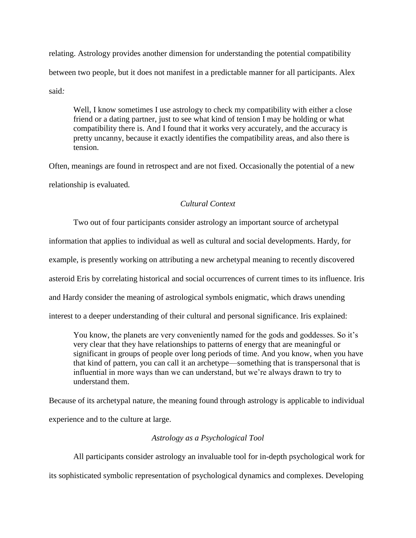relating. Astrology provides another dimension for understanding the potential compatibility between two people, but it does not manifest in a predictable manner for all participants. Alex said*:*

Well, I know sometimes I use astrology to check my compatibility with either a close friend or a dating partner, just to see what kind of tension I may be holding or what compatibility there is. And I found that it works very accurately, and the accuracy is pretty uncanny, because it exactly identifies the compatibility areas, and also there is tension.

Often, meanings are found in retrospect and are not fixed. Occasionally the potential of a new relationship is evaluated*.*

## *Cultural Context*

Two out of four participants consider astrology an important source of archetypal information that applies to individual as well as cultural and social developments. Hardy, for example, is presently working on attributing a new archetypal meaning to recently discovered asteroid Eris by correlating historical and social occurrences of current times to its influence. Iris and Hardy consider the meaning of astrological symbols enigmatic, which draws unending interest to a deeper understanding of their cultural and personal significance. Iris explained:

You know, the planets are very conveniently named for the gods and goddesses. So it's very clear that they have relationships to patterns of energy that are meaningful or significant in groups of people over long periods of time. And you know, when you have that kind of pattern, you can call it an archetype—something that is transpersonal that is influential in more ways than we can understand, but we're always drawn to try to understand them.

Because of its archetypal nature, the meaning found through astrology is applicable to individual experience and to the culture at large.

### *Astrology as a Psychological Tool*

All participants consider astrology an invaluable tool for in-depth psychological work for its sophisticated symbolic representation of psychological dynamics and complexes. Developing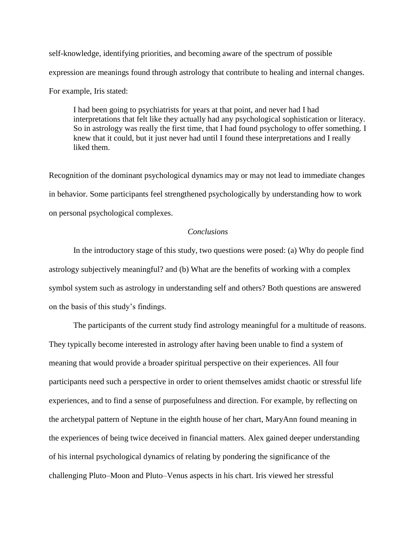self-knowledge, identifying priorities, and becoming aware of the spectrum of possible expression are meanings found through astrology that contribute to healing and internal changes. For example, Iris stated:

I had been going to psychiatrists for years at that point, and never had I had interpretations that felt like they actually had any psychological sophistication or literacy. So in astrology was really the first time, that I had found psychology to offer something. I knew that it could, but it just never had until I found these interpretations and I really liked them.

Recognition of the dominant psychological dynamics may or may not lead to immediate changes in behavior. Some participants feel strengthened psychologically by understanding how to work on personal psychological complexes.

### *Conclusions*

In the introductory stage of this study, two questions were posed: (a) Why do people find astrology subjectively meaningful? and (b) What are the benefits of working with a complex symbol system such as astrology in understanding self and others? Both questions are answered on the basis of this study's findings.

The participants of the current study find astrology meaningful for a multitude of reasons. They typically become interested in astrology after having been unable to find a system of meaning that would provide a broader spiritual perspective on their experiences. All four participants need such a perspective in order to orient themselves amidst chaotic or stressful life experiences, and to find a sense of purposefulness and direction. For example, by reflecting on the archetypal pattern of Neptune in the eighth house of her chart, MaryAnn found meaning in the experiences of being twice deceived in financial matters. Alex gained deeper understanding of his internal psychological dynamics of relating by pondering the significance of the challenging Pluto–Moon and Pluto–Venus aspects in his chart. Iris viewed her stressful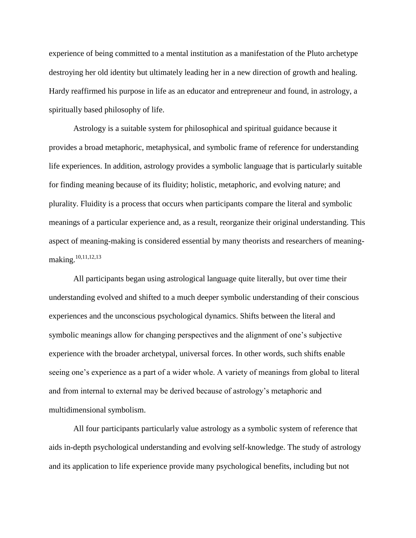experience of being committed to a mental institution as a manifestation of the Pluto archetype destroying her old identity but ultimately leading her in a new direction of growth and healing. Hardy reaffirmed his purpose in life as an educator and entrepreneur and found, in astrology, a spiritually based philosophy of life.

Astrology is a suitable system for philosophical and spiritual guidance because it provides a broad metaphoric, metaphysical, and symbolic frame of reference for understanding life experiences. In addition, astrology provides a symbolic language that is particularly suitable for finding meaning because of its fluidity; holistic, metaphoric, and evolving nature; and plurality. Fluidity is a process that occurs when participants compare the literal and symbolic meanings of a particular experience and, as a result, reorganize their original understanding. This aspect of meaning-making is considered essential by many theorists and researchers of meaningmaking.<sup>10,11,12,13</sup>

All participants began using astrological language quite literally, but over time their understanding evolved and shifted to a much deeper symbolic understanding of their conscious experiences and the unconscious psychological dynamics. Shifts between the literal and symbolic meanings allow for changing perspectives and the alignment of one's subjective experience with the broader archetypal, universal forces. In other words, such shifts enable seeing one's experience as a part of a wider whole. A variety of meanings from global to literal and from internal to external may be derived because of astrology's metaphoric and multidimensional symbolism.

All four participants particularly value astrology as a symbolic system of reference that aids in-depth psychological understanding and evolving self-knowledge. The study of astrology and its application to life experience provide many psychological benefits, including but not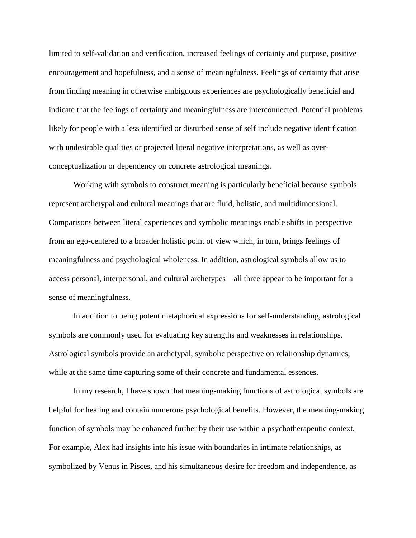limited to self-validation and verification, increased feelings of certainty and purpose, positive encouragement and hopefulness, and a sense of meaningfulness. Feelings of certainty that arise from finding meaning in otherwise ambiguous experiences are psychologically beneficial and indicate that the feelings of certainty and meaningfulness are interconnected. Potential problems likely for people with a less identified or disturbed sense of self include negative identification with undesirable qualities or projected literal negative interpretations, as well as overconceptualization or dependency on concrete astrological meanings.

Working with symbols to construct meaning is particularly beneficial because symbols represent archetypal and cultural meanings that are fluid, holistic, and multidimensional. Comparisons between literal experiences and symbolic meanings enable shifts in perspective from an ego-centered to a broader holistic point of view which, in turn, brings feelings of meaningfulness and psychological wholeness. In addition, astrological symbols allow us to access personal, interpersonal, and cultural archetypes—all three appear to be important for a sense of meaningfulness.

In addition to being potent metaphorical expressions for self-understanding, astrological symbols are commonly used for evaluating key strengths and weaknesses in relationships. Astrological symbols provide an archetypal, symbolic perspective on relationship dynamics, while at the same time capturing some of their concrete and fundamental essences.

In my research, I have shown that meaning-making functions of astrological symbols are helpful for healing and contain numerous psychological benefits. However, the meaning-making function of symbols may be enhanced further by their use within a psychotherapeutic context. For example, Alex had insights into his issue with boundaries in intimate relationships, as symbolized by Venus in Pisces, and his simultaneous desire for freedom and independence, as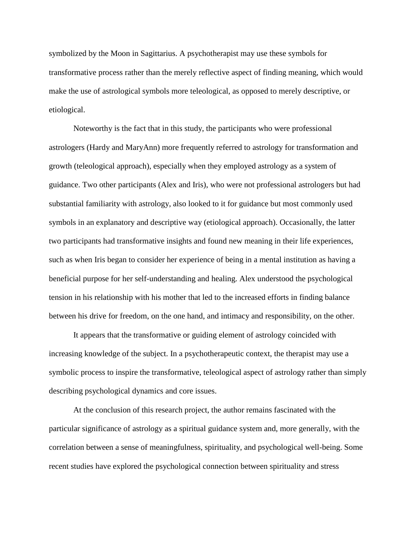symbolized by the Moon in Sagittarius. A psychotherapist may use these symbols for transformative process rather than the merely reflective aspect of finding meaning, which would make the use of astrological symbols more teleological, as opposed to merely descriptive, or etiological.

Noteworthy is the fact that in this study, the participants who were professional astrologers (Hardy and MaryAnn) more frequently referred to astrology for transformation and growth (teleological approach), especially when they employed astrology as a system of guidance. Two other participants (Alex and Iris), who were not professional astrologers but had substantial familiarity with astrology, also looked to it for guidance but most commonly used symbols in an explanatory and descriptive way (etiological approach). Occasionally, the latter two participants had transformative insights and found new meaning in their life experiences, such as when Iris began to consider her experience of being in a mental institution as having a beneficial purpose for her self-understanding and healing. Alex understood the psychological tension in his relationship with his mother that led to the increased efforts in finding balance between his drive for freedom, on the one hand, and intimacy and responsibility, on the other.

It appears that the transformative or guiding element of astrology coincided with increasing knowledge of the subject. In a psychotherapeutic context, the therapist may use a symbolic process to inspire the transformative, teleological aspect of astrology rather than simply describing psychological dynamics and core issues.

At the conclusion of this research project, the author remains fascinated with the particular significance of astrology as a spiritual guidance system and, more generally, with the correlation between a sense of meaningfulness, spirituality, and psychological well-being. Some recent studies have explored the psychological connection between spirituality and stress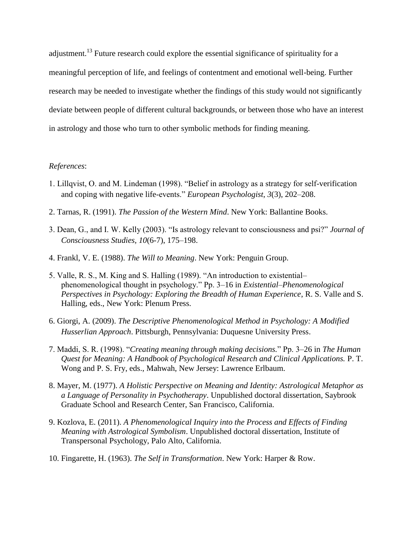adjustment.<sup>13</sup> Future research could explore the essential significance of spirituality for a meaningful perception of life, and feelings of contentment and emotional well-being. Further research may be needed to investigate whether the findings of this study would not significantly deviate between people of different cultural backgrounds, or between those who have an interest in astrology and those who turn to other symbolic methods for finding meaning.

### *References*:

- 1. Lillqvist, O. and M. Lindeman (1998). "Belief in astrology as a strategy for self-verification and coping with negative life-events." *European Psychologist*, *3*(3), 202–208.
- 2. Tarnas, R. (1991). *The Passion of the Western Mind*. New York: Ballantine Books.
- 3. Dean, G., and I. W. Kelly (2003). "Is astrology relevant to consciousness and psi?" *Journal of Consciousness Studies, 10*(6-7), 175–198.
- 4. Frankl, V. E. (1988). *The Will to Meaning*. New York: Penguin Group.
- 5. Valle, R. S., M. King and S. Halling (1989). "An introduction to existential– phenomenological thought in psychology." Pp. 3–16 in *Existential–Phenomenological Perspectives in Psychology: Exploring the Breadth of Human Experience*, R. S. Valle and S. Halling, eds., New York: Plenum Press.
- 6. Giorgi, A. (2009). *The Descriptive Phenomenological Method in Psychology: A Modified Husserlian Approach*. Pittsburgh, Pennsylvania: Duquesne University Press.
- 7. Maddi, S. R. (1998). "*Creating meaning through making decisions.*" Pp. 3–26 in *The Human Quest for Meaning: A Handbook of Psychological Research and Clinical Applications.* P. T. Wong and P. S. Fry, eds., Mahwah, New Jersey: Lawrence Erlbaum.
- 8. Mayer, M. (1977). *A Holistic Perspective on Meaning and Identity: Astrological Metaphor as a Language of Personality in Psychotherapy*. Unpublished doctoral dissertation, Saybrook Graduate School and Research Center, San Francisco, California.
- 9. Kozlova, E. (2011). *A Phenomenological Inquiry into the Process and Effects of Finding Meaning with Astrological Symbolism*. Unpublished doctoral dissertation, Institute of Transpersonal Psychology, Palo Alto, California.
- 10. Fingarette, H. (1963). *The Self in Transformation*. New York: Harper & Row.